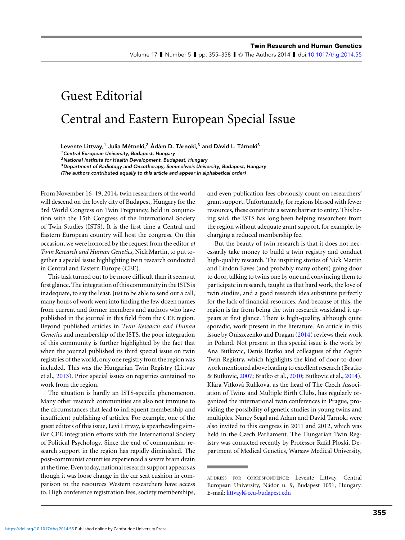Volume 17 I Number 5 I pp. 355–358 I © The Authors 2014 I doi[:10.1017/thg.2014.55](http://dx.doi.org/10.1017/thg.2014.55)

## Guest Editorial Central and Eastern European Special Issue

Levente Littvay,<sup>1</sup> Julia Métneki,<sup>2</sup> Ádám D. Tárnoki,<sup>3</sup> and Dávid L. Tárnoki<sup>3</sup>

<sup>1</sup> Central European University, Budapest, Hungary

<sup>2</sup>National Institute for Health Development, Budapest, Hungary

 $3$  Department of Radiology and Oncotherapy, Semmelweis University, Budapest, Hungary

(The authors contributed equally to this article and appear in alphabetical order)

From November 16–19, 2014, twin researchers of the world will descend on the lovely city of Budapest, Hungary for the 3rd World Congress on Twin Pregnancy, held in conjunction with the 15th Congress of the International Society of Twin Studies (ISTS). It is the first time a Central and Eastern European country will host the congress. On this occasion, we were honored by the request from the editor *of Twin Research and Human Genetics*, Nick Martin, to put together a special issue highlighting twin research conducted in Central and Eastern Europe (CEE).

This task turned out to be more difficult than it seems at first glance. The integration of this community in the ISTS is inadequate, to say the least. Just to be able to send out a call, many hours of work went into finding the few dozen names from current and former members and authors who have published in the journal in this field from the CEE region. Beyond published articles in *Twin Research and Human Genetics* and membership of the ISTS, the poor integration of this community is further highlighted by the fact that when the journal published its third special issue on twin registries of the world, only one registry from the region was included. This was the Hungarian Twin Registry (Littvay et al., [2013\)](#page-3-0). Prior special issues on registries contained no work from the region.

The situation is hardly an ISTS-specific phenomenon. Many other research communities are also not immune to the circumstances that lead to infrequent membership and insufficient publishing of articles. For example, one of the guest editors of this issue, Levi Littvay, is spearheading similar CEE integration efforts with the International Society of Political Psychology. Since the end of communism, research support in the region has rapidly diminished. The post-communist countries experienced a severe brain drain at the time. Even today, national research support appears as though it was loose change in the car seat cushion in comparison to the resources Western researchers have access to. High conference registration fees, society memberships,

and even publication fees obviously count on researchers' grant support. Unfortunately, for regions blessed with fewer resources, these constitute a severe barrier to entry. This being said, the ISTS has long been helping researchers from the region without adequate grant support, for example, by charging a reduced membership fee.

But the beauty of twin research is that it does not necessarily take money to build a twin registry and conduct high-quality research. The inspiring stories of Nick Martin and Lindon Eaves (and probably many others) going door to door, talking to twins one by one and convincing them to participate in research, taught us that hard work, the love of twin studies, and a good research idea substitute perfectly for the lack of financial resources. And because of this, the region is far from being the twin research wasteland it appears at first glance. There is high-quality, although quite sporadic, work present in the literature. An article in this issue by Oniszczenko and Dragan [\(2014\)](#page-3-0) reviews their work in Poland. Not present in this special issue is the work by Ana Butkovic, Denis Bratko and colleagues of the Zagreb Twin Registry, which highlights the kind of door-to-door work mentioned above leading to excellent research (Bratko & Butkovic, [2007;](#page-2-0) Bratko et al., [2010;](#page-2-0) Butkovic et al., [2014\)](#page-2-0). Klára Vítková Rulíková, as the head of The Czech Association of Twins and Multiple Birth Clubs, has regularly organized the international twin conferences in Prague, providing the possibility of genetic studies in young twins and multiples. Nancy Segal and Adam and David Tarnoki were also invited to this congress in 2011 and 2012, which was held in the Czech Parliament. The Hungarian Twin Registry was contacted recently by Professor Rafal Ploski, Department of Medical Genetics, Warsaw Medical University,

ADDRESS FOR CORRESPONDENCE: Levente Littvay, Central European University, Nádor u. 9, Budapest 1051, Hungary. E-mail: [littvayl@ceu-budapest.edu](mailto:littvayl@ceu-budapest.edu)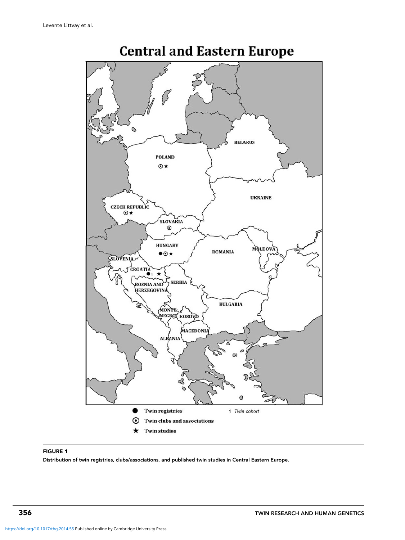<span id="page-1-0"></span>

## **Central and Eastern Europe**

## FIGURE 1

Distribution of twin registries, clubs/associations, and published twin studies in Central Eastern Europe.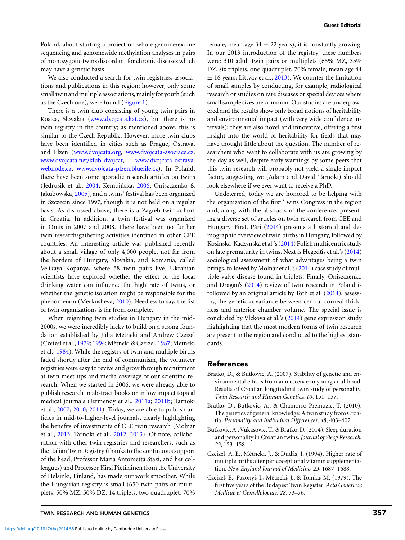<span id="page-2-0"></span>Poland, about starting a project on whole genome/exome sequencing and genomewide methylation analyses in pairs of monozygotic twins discordant for chronic diseases which may have a genetic basis.

We also conducted a search for twin registries, associations and publications in this region; however, only some small twin and multiple associations, mainly for youth (such as the Czech one), were found [\(Figure 1\)](#page-1-0).

There is a twin club consisting of young twin pairs in Kosice, Slovakia [\(www.dvojcata.kat.cz\)](http://www.dvojcata.kat.cz), but there is no twin registry in the country; as mentioned above, this is similar to the Czech Republic. However, more twin clubs have been identified in cities such as Prague, Ostrava, and Plzen [\(www.dvojcata.org,](http://www.dvojcata.org) [www.dvojcata-asociace.cz,](http://www.dvojcata-asociace.cz) [www.dvojcata.net/klub-dvojcat,](http://www.dvojcata.net/klub-dvojcat) [www.dvojcata-ostrava.](http://www.dvojcata-ostrava.webnode.cz) [webnode.cz,](http://www.dvojcata-ostrava.webnode.cz) [www.dvojcata-plzen.bluefile.cz\)](http://www.dvojcata-plzen.bluefile.cz). In Poland, there have been some sporadic research articles on twins (Jedrusik et al., [2004;](#page-3-0) Kempińska, [2006;](#page-3-0) Oniszczenko & Jakubowska, [2005\)](#page-3-0), and a twins' festival has been organized in Szczecin since 1997, though it is not held on a regular basis. As discussed above, there is a Zagreb twin cohort in Croatia. In addition, a twin festival was organized in Omis in 2007 and 2008. There have been no further twin research/gathering activities identified in other CEE countries. An interesting article was published recently about a small village of only 4,000 people, not far from the borders of Hungary, Slovakia, and Romania, called Velikaya Kopanya, where 58 twin pairs live. Ukranian scientists have explored whether the effect of the local drinking water can influence the high rate of twins, or whether the genetic isolation might be responsible for the phenomenon (Merkusheva, [2010\)](#page-3-0). Needless to say, the list of twin organizations is far from complete.

When reigniting twin studies in Hungary in the mid-2000s, we were incredibly lucky to build on a strong foundation established by Júlia Métneki and Andrew Czeizel (Czeizel et al., 1979; 1994; Métneki & Czeizel, [1987;](#page-3-0) Métneki et al., [1984\)](#page-3-0). While the registry of twin and multiple births faded shortly after the end of communism, the volunteer registries were easy to revive and grow through recruitment at twin meet-ups and media coverage of our scientific research. When we started in 2006, we were already able to publish research in abstract books or in low impact topical medical journals (Jermendy et al., [2011a;](#page-3-0) [2011b;](#page-3-0) Tarnoki et al., [2007;](#page-3-0) [2010;](#page-3-0) [2011\)](#page-3-0). Today, we are able to publish articles in mid-to-higher-level journals, clearly highlighting the benefits of investments of CEE twin research (Molnár et al., [2013;](#page-3-0) Tarnoki et al., [2012;](#page-3-0) [2013\)](#page-3-0). Of note, collaboration with other twin registries and researchers, such as the Italian Twin Registry (thanks to the continuous support of the head, Professor Maria Antonietta Stazi, and her colleagues) and Professor Kirsi Pietiläinen from the University of Helsinki, Finland, has made our work smoother. While the Hungarian registry is small (650 twin pairs or multiplets, 50% MZ, 50% DZ, 14 triplets, two quadruplet, 70%

female, mean age  $34 \pm 22$  years), it is constantly growing. In our 2013 introduction of the registry, these numbers were: 310 adult twin pairs or multiplets (65% MZ, 35% DZ, six triplets, one quadruplet, 70% female, mean age 44  $\pm$  16 years; Littvay et al., [2013\)](#page-3-0). We counter the limitation of small samples by conducting, for example, radiological research or studies on rare diseases or special devices where small sample sizes are common. Our studies are underpowered and the results show only broad notions of heritability and environmental impact (with very wide confidence intervals); they are also novel and innovative, offering a first insight into the world of heritability for fields that may have thought little about the question. The number of researchers who want to collaborate with us are growing by the day as well, despite early warnings by some peers that this twin research will probably not yield a single impact factor, suggesting we (Adam and David Tarnoki) should look elsewhere if we ever want to receive a PhD.

Undeterred, today we are honored to be helping with the organization of the first Twins Congress in the region and, along with the abstracts of the conference, presenting a diverse set of articles on twin research from CEE and Hungary. First, Pári ([2014\)](#page-3-0) presents a historical and demographic overview of twin births in Hungary, followed by Kosinska-Kaczynska et al.'s [\(2014\)](#page-3-0) Polish multicentric study on late prematurity in twins. Next is Hegedűs et al.'s ([2014\)](#page-3-0) sociological assessment of what advantages being a twin brings, followed by Molnár et al.'s ([2014\)](#page-3-0) case study of multiple valve disease found in triplets. Finally, Oniszczenko and Dragan's [\(2014\)](#page-3-0) review of twin research in Poland is followed by an original article by Toth et al. [\(2014\)](#page-3-0), assessing the genetic covariance between central corneal thickness and anterior chamber volume. The special issue is concluded by Vlckova et al.'s [\(2014\)](#page-3-0) gene expression study highlighting that the most modern forms of twin research are present in the region and conducted to the highest standards.

## References

- Bratko, D., & Butkovic, A. (2007). Stability of genetic and environmental effects from adolescence to young adulthood: Results of Croatian longitudinal twin study of personality. *Twin Research and Human Genetics*, *10*, 151–157.
- Bratko, D., Butkovic, A., & Chamorro-Premuzic, T. (2010). The genetics of general knowledge: A twin study from Croatia. *Personality and Individual Differences*, *48*, 403–407.
- Butkovic, A., Vukasovic, T., & Bratko, D. (2014). Sleep duration and personality in Croatian twins. *Journal of Sleep Research*, *23*, 153–158.
- Czeizel, A. E., Métneki, J., & Dudás, I. (1994). Higher rate of multiple births after pericoceptional vitamin supplementation. *New England Journal of Medicine*, *23*, 1687–1688.
- Czeizel, E., Pazonyi, I., Metneki, J., & Tomka, M. (1979). The ´ first five years of the Budapest Twin Register. *Acta Geneticae Medicae et Gemellologiae*, *28*, 73–76.